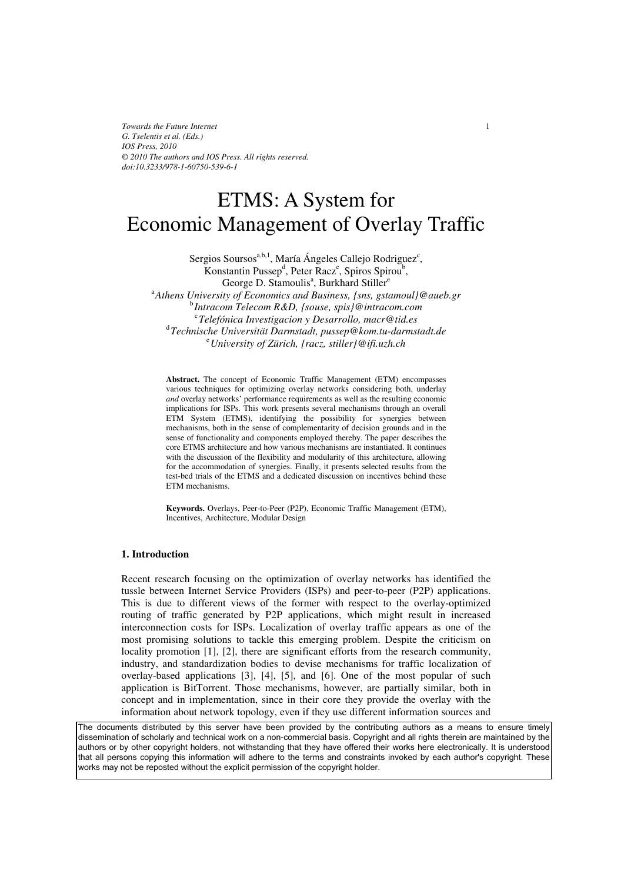# ETMS: A System for Economic Management of Overlay Traffic

Sergios Soursos<sup>a,b,1</sup>, María Ángeles Callejo Rodriguez<sup>c</sup>, Konstantin Pussep<sup>d</sup>, Peter Racz<sup>e</sup>, Spiros Spirou<sup>b</sup>, George D. Stamoulis<sup>a</sup>, Burkhard Stiller<sup>e</sup> <sup>a</sup> Athens University of Economics and Business, {sns, gstamoul}@aueb.gr **b** butgacom Telecom R&D, *lsouse*, spis1@intracom.com *Intracom Telecom R&D, {souse, spis}@intracom.com*  c *Telefónica Investigacion y Desarrollo, macr@tid.es* <sup>d</sup> *Technische Universität Darmstadt, pussep@kom.tu-darmstadt.de* <sup>e</sup> *University of Zürich, {racz, stiller}@ifi.uzh.ch* 

**Abstract.** The concept of Economic Traffic Management (ETM) encompasses various techniques for optimizing overlay networks considering both, underlay *and* overlay networks' performance requirements as well as the resulting economic implications for ISPs. This work presents several mechanisms through an overall ETM System (ETMS), identifying the possibility for synergies between mechanisms, both in the sense of complementarity of decision grounds and in the sense of functionality and components employed thereby. The paper describes the core ETMS architecture and how various mechanisms are instantiated. It continues with the discussion of the flexibility and modularity of this architecture, allowing for the accommodation of synergies. Finally, it presents selected results from the test-bed trials of the ETMS and a dedicated discussion on incentives behind these ETM mechanisms.

**Keywords.** Overlays, Peer-to-Peer (P2P), Economic Traffic Management (ETM), Incentives, Architecture, Modular Design

## **1. Introduction**

Recent research focusing on the optimization of overlay networks has identified the tussle between Internet Service Providers (ISPs) and peer-to-peer (P2P) applications. This is due to different views of the former with respect to the overlay-optimized routing of traffic generated by P2P applications, which might result in increased interconnection costs for ISPs. Localization of overlay traffic appears as one of the most promising solutions to tackle this emerging problem. Despite the criticism on locality promotion [1], [2], there are significant efforts from the research community, industry, and standardization bodies to devise mechanisms for traffic localization of overlay-based applications [3], [4], [5], and [6]. One of the most popular of such application is BitTorrent. Those mechanisms, however, are partially similar, both in concept and in implementation, since in their core they provide the overlay with the information about network topology, even if they use different information sources and

dissemination of scholarly and technical work on a non-commercial basis. Copyright and all rights therein are maintained by the<br>sufficience his office acquirint habitant and with the file of the there affored their works h authors or by other copyright holders, not withstanding that they have offered their works here electronically. It is understood dations of by since supplying the second including that they have shorted their none hole seconding. This americased<br>that all persons copying this information will adhere to the terms and constraints invoked by each author The documents distributed by this server have been provided by the contributing authors as a means to ensure timely works may not be reposted without the explicit permission of the copyright holder.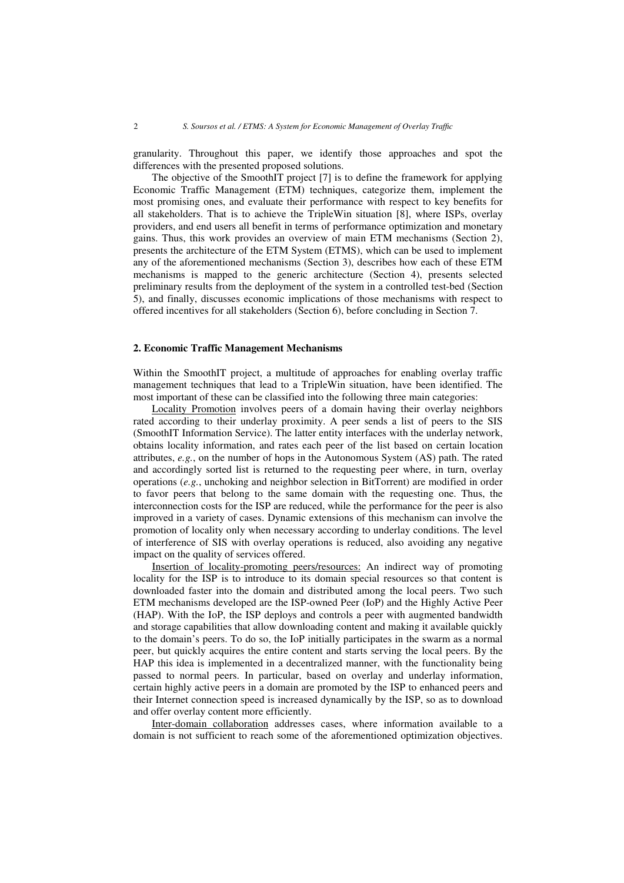granularity. Throughout this paper, we identify those approaches and spot the differences with the presented proposed solutions.

The objective of the SmoothIT project [7] is to define the framework for applying Economic Traffic Management (ETM) techniques, categorize them, implement the most promising ones, and evaluate their performance with respect to key benefits for all stakeholders. That is to achieve the TripleWin situation [8], where ISPs, overlay providers, and end users all benefit in terms of performance optimization and monetary gains. Thus, this work provides an overview of main ETM mechanisms (Section 2), presents the architecture of the ETM System (ETMS), which can be used to implement any of the aforementioned mechanisms (Section 3), describes how each of these ETM mechanisms is mapped to the generic architecture (Section 4), presents selected preliminary results from the deployment of the system in a controlled test-bed (Section 5), and finally, discusses economic implications of those mechanisms with respect to offered incentives for all stakeholders (Section 6), before concluding in Section 7.

## **2. Economic Traffic Management Mechanisms**

Within the SmoothIT project, a multitude of approaches for enabling overlay traffic management techniques that lead to a TripleWin situation, have been identified. The most important of these can be classified into the following three main categories:

Locality Promotion involves peers of a domain having their overlay neighbors rated according to their underlay proximity. A peer sends a list of peers to the SIS (SmoothIT Information Service). The latter entity interfaces with the underlay network, obtains locality information, and rates each peer of the list based on certain location attributes, *e.g.*, on the number of hops in the Autonomous System (AS) path. The rated and accordingly sorted list is returned to the requesting peer where, in turn, overlay operations (*e.g.*, unchoking and neighbor selection in BitTorrent) are modified in order to favor peers that belong to the same domain with the requesting one. Thus, the interconnection costs for the ISP are reduced, while the performance for the peer is also improved in a variety of cases. Dynamic extensions of this mechanism can involve the promotion of locality only when necessary according to underlay conditions. The level of interference of SIS with overlay operations is reduced, also avoiding any negative impact on the quality of services offered.

Insertion of locality-promoting peers/resources: An indirect way of promoting locality for the ISP is to introduce to its domain special resources so that content is downloaded faster into the domain and distributed among the local peers. Two such ETM mechanisms developed are the ISP-owned Peer (IoP) and the Highly Active Peer (HAP). With the IoP, the ISP deploys and controls a peer with augmented bandwidth and storage capabilities that allow downloading content and making it available quickly to the domain's peers. To do so, the IoP initially participates in the swarm as a normal peer, but quickly acquires the entire content and starts serving the local peers. By the HAP this idea is implemented in a decentralized manner, with the functionality being passed to normal peers. In particular, based on overlay and underlay information, certain highly active peers in a domain are promoted by the ISP to enhanced peers and their Internet connection speed is increased dynamically by the ISP, so as to download and offer overlay content more efficiently.

Inter-domain collaboration addresses cases, where information available to a domain is not sufficient to reach some of the aforementioned optimization objectives.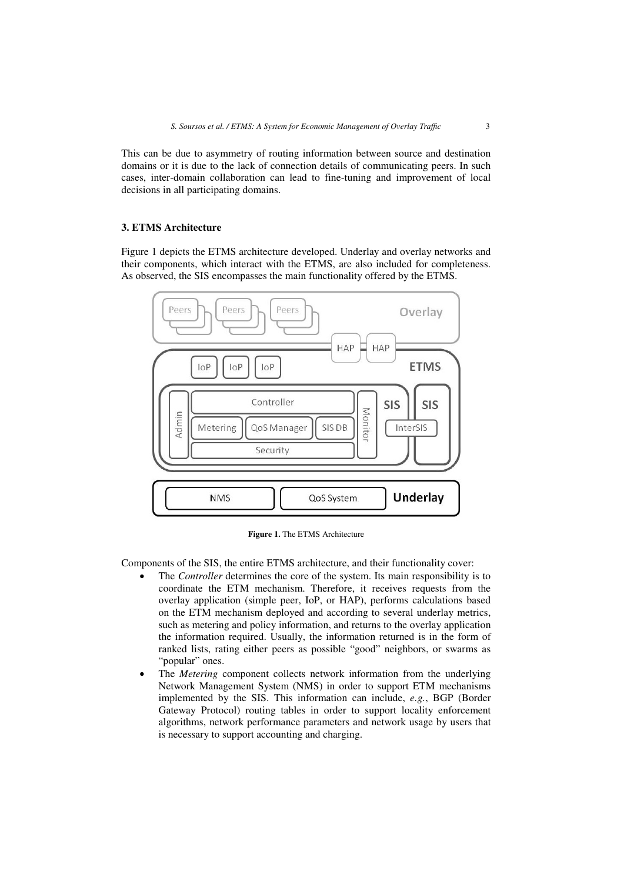This can be due to asymmetry of routing information between source and destination domains or it is due to the lack of connection details of communicating peers. In such cases, inter-domain collaboration can lead to fine-tuning and improvement of local decisions in all participating domains.

# **3. ETMS Architecture**

Figure 1 depicts the ETMS architecture developed. Underlay and overlay networks and their components, which interact with the ETMS, are also included for completeness. As observed, the SIS encompasses the main functionality offered by the ETMS.



**Figure 1.** The ETMS Architecture

Components of the SIS, the entire ETMS architecture, and their functionality cover:

- The *Controller* determines the core of the system. Its main responsibility is to coordinate the ETM mechanism. Therefore, it receives requests from the overlay application (simple peer, IoP, or HAP), performs calculations based on the ETM mechanism deployed and according to several underlay metrics, such as metering and policy information, and returns to the overlay application the information required. Usually, the information returned is in the form of ranked lists, rating either peers as possible "good" neighbors, or swarms as "popular" ones.
- The *Metering* component collects network information from the underlying Network Management System (NMS) in order to support ETM mechanisms implemented by the SIS. This information can include, *e.g.*, BGP (Border Gateway Protocol) routing tables in order to support locality enforcement algorithms, network performance parameters and network usage by users that is necessary to support accounting and charging.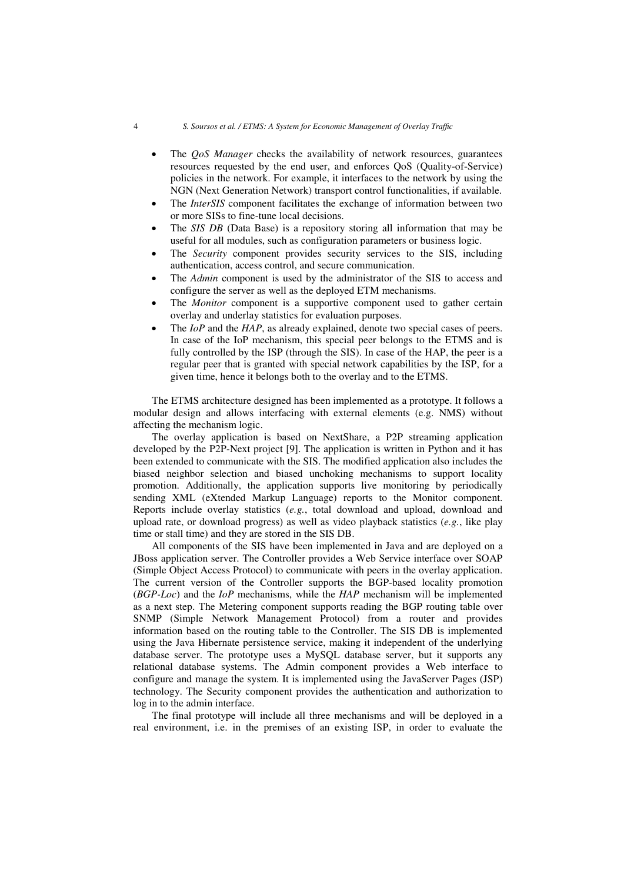- The *QoS Manager* checks the availability of network resources, guarantees resources requested by the end user, and enforces QoS (Quality-of-Service) policies in the network. For example, it interfaces to the network by using the NGN (Next Generation Network) transport control functionalities, if available.
- The *InterSIS* component facilitates the exchange of information between two or more SISs to fine-tune local decisions.
- The *SIS DB* (Data Base) is a repository storing all information that may be useful for all modules, such as configuration parameters or business logic.
- The *Security* component provides security services to the SIS, including authentication, access control, and secure communication.
- The *Admin* component is used by the administrator of the SIS to access and configure the server as well as the deployed ETM mechanisms.
- The *Monitor* component is a supportive component used to gather certain overlay and underlay statistics for evaluation purposes.
- The *IoP* and the *HAP*, as already explained, denote two special cases of peers. In case of the IoP mechanism, this special peer belongs to the ETMS and is fully controlled by the ISP (through the SIS). In case of the HAP, the peer is a regular peer that is granted with special network capabilities by the ISP, for a given time, hence it belongs both to the overlay and to the ETMS.

The ETMS architecture designed has been implemented as a prototype. It follows a modular design and allows interfacing with external elements (e.g. NMS) without affecting the mechanism logic.

The overlay application is based on NextShare, a P2P streaming application developed by the P2P-Next project [9]. The application is written in Python and it has been extended to communicate with the SIS. The modified application also includes the biased neighbor selection and biased unchoking mechanisms to support locality promotion. Additionally, the application supports live monitoring by periodically sending XML (eXtended Markup Language) reports to the Monitor component. Reports include overlay statistics (*e.g.*, total download and upload, download and upload rate, or download progress) as well as video playback statistics (*e.g.*, like play time or stall time) and they are stored in the SIS DB.

All components of the SIS have been implemented in Java and are deployed on a JBoss application server. The Controller provides a Web Service interface over SOAP (Simple Object Access Protocol) to communicate with peers in the overlay application. The current version of the Controller supports the BGP-based locality promotion (*BGP-Loc*) and the *IoP* mechanisms, while the *HAP* mechanism will be implemented as a next step. The Metering component supports reading the BGP routing table over SNMP (Simple Network Management Protocol) from a router and provides information based on the routing table to the Controller. The SIS DB is implemented using the Java Hibernate persistence service, making it independent of the underlying database server. The prototype uses a MySQL database server, but it supports any relational database systems. The Admin component provides a Web interface to configure and manage the system. It is implemented using the JavaServer Pages (JSP) technology. The Security component provides the authentication and authorization to log in to the admin interface.

The final prototype will include all three mechanisms and will be deployed in a real environment, i.e. in the premises of an existing ISP, in order to evaluate the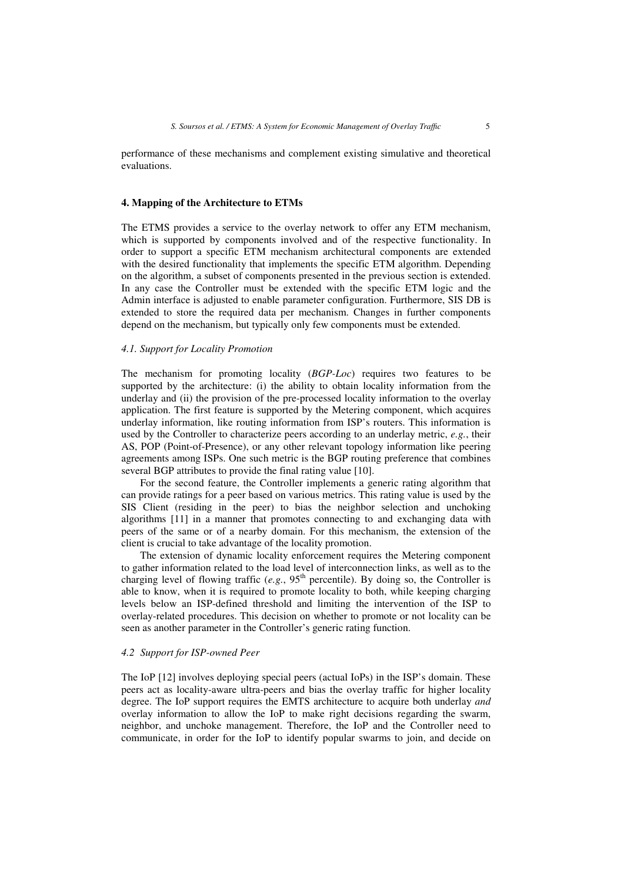performance of these mechanisms and complement existing simulative and theoretical evaluations.

## **4. Mapping of the Architecture to ETMs**

The ETMS provides a service to the overlay network to offer any ETM mechanism, which is supported by components involved and of the respective functionality. In order to support a specific ETM mechanism architectural components are extended with the desired functionality that implements the specific ETM algorithm. Depending on the algorithm, a subset of components presented in the previous section is extended. In any case the Controller must be extended with the specific ETM logic and the Admin interface is adjusted to enable parameter configuration. Furthermore, SIS DB is extended to store the required data per mechanism. Changes in further components depend on the mechanism, but typically only few components must be extended.

## *4.1. Support for Locality Promotion*

The mechanism for promoting locality (*BGP-Loc*) requires two features to be supported by the architecture: (i) the ability to obtain locality information from the underlay and (ii) the provision of the pre-processed locality information to the overlay application. The first feature is supported by the Metering component, which acquires underlay information, like routing information from ISP's routers. This information is used by the Controller to characterize peers according to an underlay metric, *e.g.*, their AS, POP (Point-of-Presence), or any other relevant topology information like peering agreements among ISPs. One such metric is the BGP routing preference that combines several BGP attributes to provide the final rating value [10].

For the second feature, the Controller implements a generic rating algorithm that can provide ratings for a peer based on various metrics. This rating value is used by the SIS Client (residing in the peer) to bias the neighbor selection and unchoking algorithms [11] in a manner that promotes connecting to and exchanging data with peers of the same or of a nearby domain. For this mechanism, the extension of the client is crucial to take advantage of the locality promotion.

The extension of dynamic locality enforcement requires the Metering component to gather information related to the load level of interconnection links, as well as to the charging level of flowing traffic (*e.g.*,  $95<sup>th</sup>$  percentile). By doing so, the Controller is able to know, when it is required to promote locality to both, while keeping charging levels below an ISP-defined threshold and limiting the intervention of the ISP to overlay-related procedures. This decision on whether to promote or not locality can be seen as another parameter in the Controller's generic rating function.

# *4.2 Support for ISP-owned Peer*

The IoP [12] involves deploying special peers (actual IoPs) in the ISP's domain. These peers act as locality-aware ultra-peers and bias the overlay traffic for higher locality degree. The IoP support requires the EMTS architecture to acquire both underlay *and*  overlay information to allow the IoP to make right decisions regarding the swarm, neighbor, and unchoke management. Therefore, the IoP and the Controller need to communicate, in order for the IoP to identify popular swarms to join, and decide on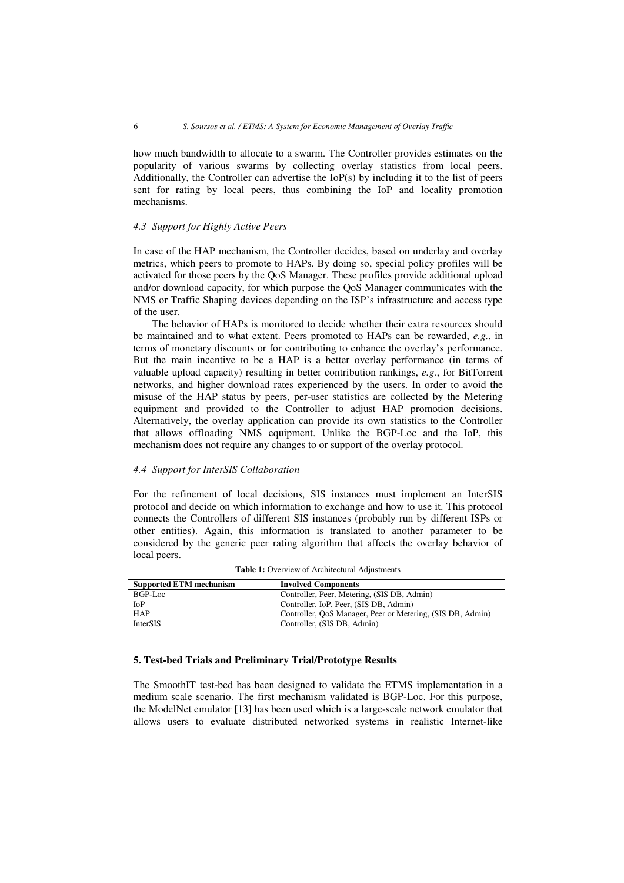how much bandwidth to allocate to a swarm. The Controller provides estimates on the popularity of various swarms by collecting overlay statistics from local peers. Additionally, the Controller can advertise the IoP(s) by including it to the list of peers sent for rating by local peers, thus combining the IoP and locality promotion mechanisms.

# *4.3 Support for Highly Active Peers*

In case of the HAP mechanism, the Controller decides, based on underlay and overlay metrics, which peers to promote to HAPs. By doing so, special policy profiles will be activated for those peers by the QoS Manager. These profiles provide additional upload and/or download capacity, for which purpose the QoS Manager communicates with the NMS or Traffic Shaping devices depending on the ISP's infrastructure and access type of the user.

The behavior of HAPs is monitored to decide whether their extra resources should be maintained and to what extent. Peers promoted to HAPs can be rewarded, *e.g.*, in terms of monetary discounts or for contributing to enhance the overlay's performance. But the main incentive to be a HAP is a better overlay performance (in terms of valuable upload capacity) resulting in better contribution rankings, *e.g.*, for BitTorrent networks, and higher download rates experienced by the users. In order to avoid the misuse of the HAP status by peers, per-user statistics are collected by the Metering equipment and provided to the Controller to adjust HAP promotion decisions. Alternatively, the overlay application can provide its own statistics to the Controller that allows offloading NMS equipment. Unlike the BGP-Loc and the IoP, this mechanism does not require any changes to or support of the overlay protocol.

# *4.4 Support for InterSIS Collaboration*

For the refinement of local decisions, SIS instances must implement an InterSIS protocol and decide on which information to exchange and how to use it. This protocol connects the Controllers of different SIS instances (probably run by different ISPs or other entities). Again, this information is translated to another parameter to be considered by the generic peer rating algorithm that affects the overlay behavior of local peers.

| <b>Supported ETM mechanism</b> | <b>Involved Components</b>                                 |
|--------------------------------|------------------------------------------------------------|
| $BGP-Loc$                      | Controller, Peer, Metering, (SIS DB, Admin)                |
| <b>IoP</b>                     | Controller, IoP, Peer, (SIS DB, Admin)                     |
| <b>HAP</b>                     | Controller, QoS Manager, Peer or Metering, (SIS DB, Admin) |
| <b>InterSIS</b>                | Controller, (SIS DB, Admin)                                |

**Table 1:** Overview of Architectural Adjustments

# **5. Test-bed Trials and Preliminary Trial/Prototype Results**

The SmoothIT test-bed has been designed to validate the ETMS implementation in a medium scale scenario. The first mechanism validated is BGP-Loc. For this purpose, the ModelNet emulator [13] has been used which is a large-scale network emulator that allows users to evaluate distributed networked systems in realistic Internet-like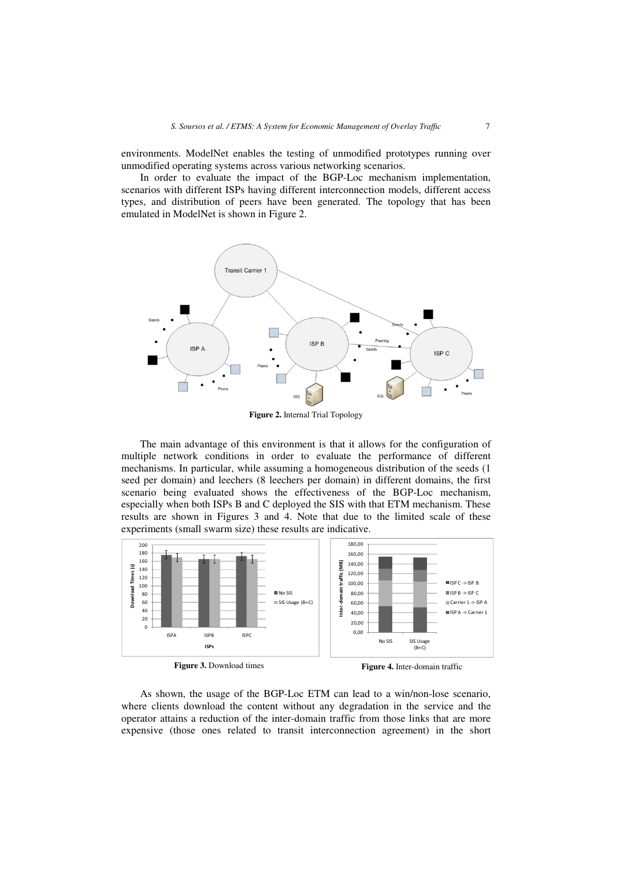environments. ModelNet enables the testing of unmodified prototypes running over unmodified operating systems across various networking scenarios.

In order to evaluate the impact of the BGP-Loc mechanism implementation, scenarios with different ISPs having different interconnection models, different access types, and distribution of peers have been generated. The topology that has been emulated in ModelNet is shown in Figure 2.



**Figure 2.** Internal Trial Topology

The main advantage of this environment is that it allows for the configuration of multiple network conditions in order to evaluate the performance of different mechanisms. In particular, while assuming a homogeneous distribution of the seeds (1 seed per domain) and leechers (8 leechers per domain) in different domains, the first scenario being evaluated shows the effectiveness of the BGP-Loc mechanism, especially when both ISPs B and C deployed the SIS with that ETM mechanism. These results are shown in Figures 3 and 4. Note that due to the limited scale of these experiments (small swarm size) these results are indicative.



**Figure 3.** Download times

**Figure 4.** Inter-domain traffic

As shown, the usage of the BGP-Loc ETM can lead to a win/non-lose scenario, where clients download the content without any degradation in the service and the operator attains a reduction of the inter-domain traffic from those links that are more expensive (those ones related to transit interconnection agreement) in the short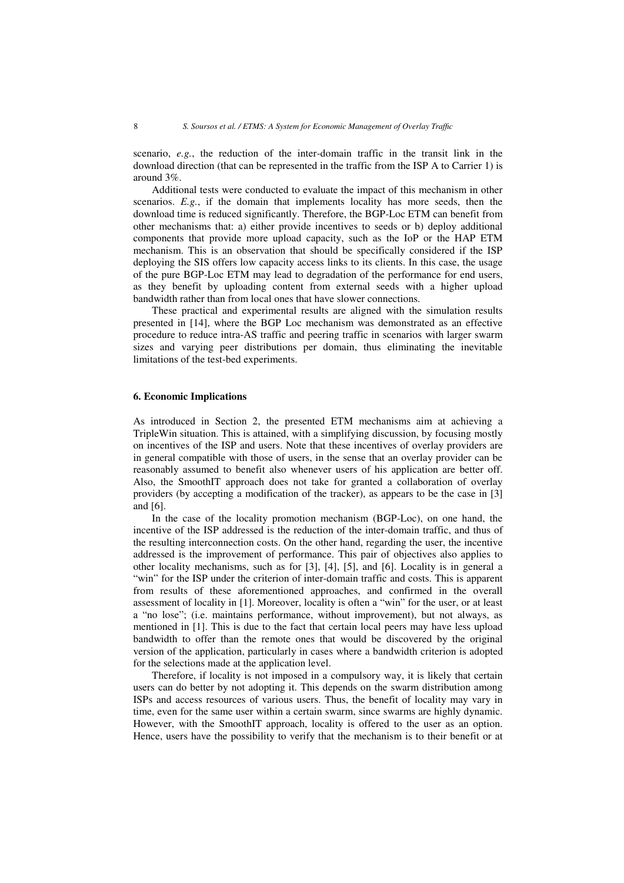scenario, *e.g.*, the reduction of the inter-domain traffic in the transit link in the download direction (that can be represented in the traffic from the ISP A to Carrier 1) is around 3%.

Additional tests were conducted to evaluate the impact of this mechanism in other scenarios. *E.g.*, if the domain that implements locality has more seeds, then the download time is reduced significantly. Therefore, the BGP-Loc ETM can benefit from other mechanisms that: a) either provide incentives to seeds or b) deploy additional components that provide more upload capacity, such as the IoP or the HAP ETM mechanism. This is an observation that should be specifically considered if the ISP deploying the SIS offers low capacity access links to its clients. In this case, the usage of the pure BGP-Loc ETM may lead to degradation of the performance for end users, as they benefit by uploading content from external seeds with a higher upload bandwidth rather than from local ones that have slower connections.

These practical and experimental results are aligned with the simulation results presented in [14], where the BGP Loc mechanism was demonstrated as an effective procedure to reduce intra-AS traffic and peering traffic in scenarios with larger swarm sizes and varying peer distributions per domain, thus eliminating the inevitable limitations of the test-bed experiments.

## **6. Economic Implications**

As introduced in Section 2, the presented ETM mechanisms aim at achieving a TripleWin situation. This is attained, with a simplifying discussion, by focusing mostly on incentives of the ISP and users. Note that these incentives of overlay providers are in general compatible with those of users, in the sense that an overlay provider can be reasonably assumed to benefit also whenever users of his application are better off. Also, the SmoothIT approach does not take for granted a collaboration of overlay providers (by accepting a modification of the tracker), as appears to be the case in [3] and [6].

In the case of the locality promotion mechanism (BGP-Loc), on one hand, the incentive of the ISP addressed is the reduction of the inter-domain traffic, and thus of the resulting interconnection costs. On the other hand, regarding the user, the incentive addressed is the improvement of performance. This pair of objectives also applies to other locality mechanisms, such as for [3], [4], [5], and [6]. Locality is in general a "win" for the ISP under the criterion of inter-domain traffic and costs. This is apparent from results of these aforementioned approaches, and confirmed in the overall assessment of locality in [1]. Moreover, locality is often a "win" for the user, or at least a "no lose"; (i.e. maintains performance, without improvement), but not always, as mentioned in [1]. This is due to the fact that certain local peers may have less upload bandwidth to offer than the remote ones that would be discovered by the original version of the application, particularly in cases where a bandwidth criterion is adopted for the selections made at the application level.

Therefore, if locality is not imposed in a compulsory way, it is likely that certain users can do better by not adopting it. This depends on the swarm distribution among ISPs and access resources of various users. Thus, the benefit of locality may vary in time, even for the same user within a certain swarm, since swarms are highly dynamic. However, with the SmoothIT approach, locality is offered to the user as an option. Hence, users have the possibility to verify that the mechanism is to their benefit or at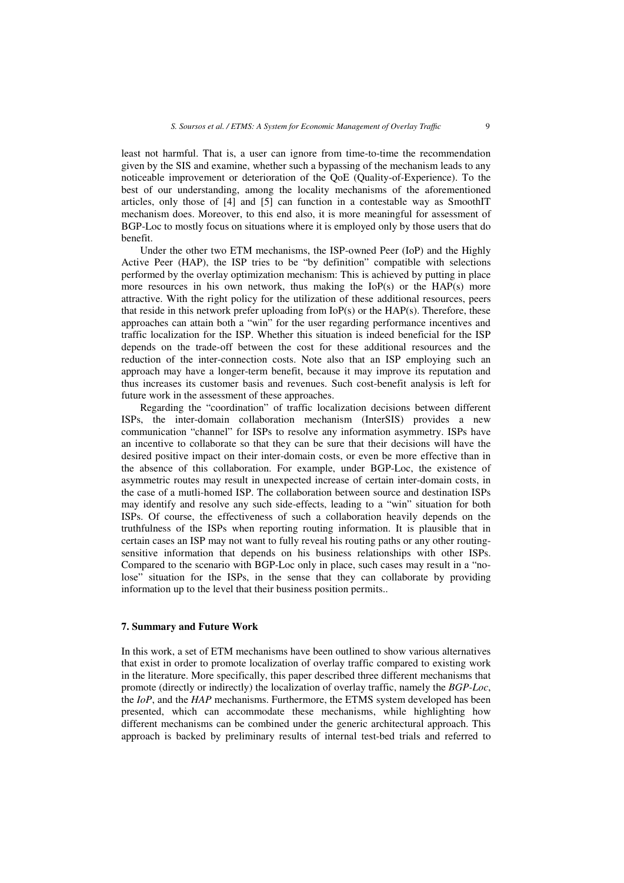least not harmful. That is, a user can ignore from time-to-time the recommendation given by the SIS and examine, whether such a bypassing of the mechanism leads to any noticeable improvement or deterioration of the QoE (Quality-of-Experience). To the best of our understanding, among the locality mechanisms of the aforementioned articles, only those of [4] and [5] can function in a contestable way as SmoothIT mechanism does. Moreover, to this end also, it is more meaningful for assessment of BGP-Loc to mostly focus on situations where it is employed only by those users that do benefit.

Under the other two ETM mechanisms, the ISP-owned Peer (IoP) and the Highly Active Peer (HAP), the ISP tries to be "by definition" compatible with selections performed by the overlay optimization mechanism: This is achieved by putting in place more resources in his own network, thus making the  $IoP(s)$  or the  $HAP(s)$  more attractive. With the right policy for the utilization of these additional resources, peers that reside in this network prefer uploading from  $I\Omega(S)$  or the  $HAP(s)$ . Therefore, these approaches can attain both a "win" for the user regarding performance incentives and traffic localization for the ISP. Whether this situation is indeed beneficial for the ISP depends on the trade-off between the cost for these additional resources and the reduction of the inter-connection costs. Note also that an ISP employing such an approach may have a longer-term benefit, because it may improve its reputation and thus increases its customer basis and revenues. Such cost-benefit analysis is left for future work in the assessment of these approaches.

Regarding the "coordination" of traffic localization decisions between different ISPs, the inter-domain collaboration mechanism (InterSIS) provides a new communication "channel" for ISPs to resolve any information asymmetry. ISPs have an incentive to collaborate so that they can be sure that their decisions will have the desired positive impact on their inter-domain costs, or even be more effective than in the absence of this collaboration. For example, under BGP-Loc, the existence of asymmetric routes may result in unexpected increase of certain inter-domain costs, in the case of a mutli-homed ISP. The collaboration between source and destination ISPs may identify and resolve any such side-effects, leading to a "win" situation for both ISPs. Of course, the effectiveness of such a collaboration heavily depends on the truthfulness of the ISPs when reporting routing information. It is plausible that in certain cases an ISP may not want to fully reveal his routing paths or any other routingsensitive information that depends on his business relationships with other ISPs. Compared to the scenario with BGP-Loc only in place, such cases may result in a "nolose" situation for the ISPs, in the sense that they can collaborate by providing information up to the level that their business position permits..

#### **7. Summary and Future Work**

In this work, a set of ETM mechanisms have been outlined to show various alternatives that exist in order to promote localization of overlay traffic compared to existing work in the literature. More specifically, this paper described three different mechanisms that promote (directly or indirectly) the localization of overlay traffic, namely the *BGP-Loc*, the *IoP*, and the *HAP* mechanisms. Furthermore, the ETMS system developed has been presented, which can accommodate these mechanisms, while highlighting how different mechanisms can be combined under the generic architectural approach. This approach is backed by preliminary results of internal test-bed trials and referred to